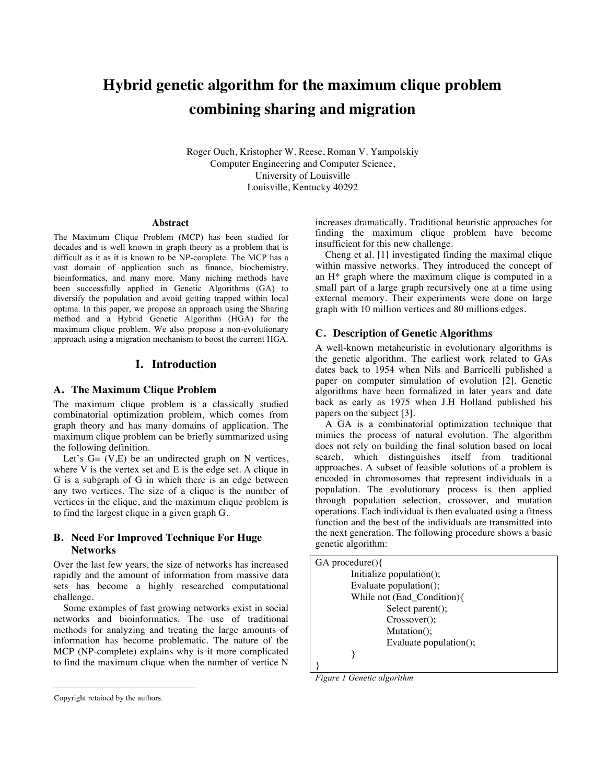# **Hybrid genetic algorithm for the maximum clique problem combining sharing and migration**

Roger Ouch, Kristopher W. Reese, Roman V. Yampolskiy Computer Engineering and Computer Science, University of Louisville Louisville, Kentucky 40292

#### **Abstract**

The Maximum Clique Problem (MCP) has been studied for decades and is well known in graph theory as a problem that is difficult as it as it is known to be NP-complete. The MCP has a vast domain of application such as finance, biochemistry, bioinformatics, and many more. Many niching methods have been successfully applied in Genetic Algorithms (GA) to diversify the population and avoid getting trapped within local optima. In this paper, we propose an approach using the Sharing method and a Hybrid Genetic Algorithm (HGA) for the maximum clique problem. We also propose a non-evolutionary approach using a migration mechanism to boost the current HGA.

## **I. Introduction**

#### **A. The Maximum Clique Problem**

The maximum clique problem is a classically studied combinatorial optimization problem, which comes from graph theory and has many domains of application. The maximum clique problem can be briefly summarized using the following definition.

Let's  $G = (V,E)$  be an undirected graph on N vertices, where V is the vertex set and E is the edge set. A clique in G is a subgraph of G in which there is an edge between any two vertices. The size of a clique is the number of vertices in the clique, and the maximum clique problem is to find the largest clique in a given graph G.

# **B. Need For Improved Technique For Huge Networks**

Over the last few years, the size of networks has increased rapidly and the amount of information from massive data sets has become a highly researched computational challenge.

Some examples of fast growing networks exist in social networks and bioinformatics. The use of traditional methods for analyzing and treating the large amounts of information has become problematic. The nature of the MCP (NP-complete) explains why is it more complicated to find the maximum clique when the number of vertice N

increases dramatically. Traditional heuristic approaches for finding the maximum clique problem have become insufficient for this new challenge.

Cheng et al. [1] investigated finding the maximal clique within massive networks. They introduced the concept of an H\* graph where the maximum clique is computed in a small part of a large graph recursively one at a time using external memory. Their experiments were done on large graph with 10 million vertices and 80 millions edges.

#### **C. Description of Genetic Algorithms**

A well-known metaheuristic in evolutionary algorithms is the genetic algorithm. The earliest work related to GAs dates back to 1954 when Nils and Barricelli published a paper on computer simulation of evolution [2]. Genetic algorithms have been formalized in later years and date back as early as 1975 when J.H Holland published his papers on the subject [3].

A GA is a combinatorial optimization technique that mimics the process of natural evolution. The algorithm does not rely on building the final solution based on local search, which distinguishes itself from traditional approaches. A subset of feasible solutions of a problem is encoded in chromosomes that represent individuals in a population. The evolutionary process is then applied through population selection, crossover, and mutation operations. Each individual is then evaluated using a fitness function and the best of the individuals are transmitted into the next generation. The following procedure shows a basic genetic algorithm:

| $GA$ procedure $()$          |
|------------------------------|
| Initialize population $($ ); |
| Evaluate population();       |
| While not (End_Condition){   |
| Select parent();             |
| $Crossover$ );               |
| Mutation();                  |
| Evaluate population();       |
|                              |
|                              |

*Figure 1 Genetic algorithm* 

 $\overline{a}$ 

Copyright retained by the authors.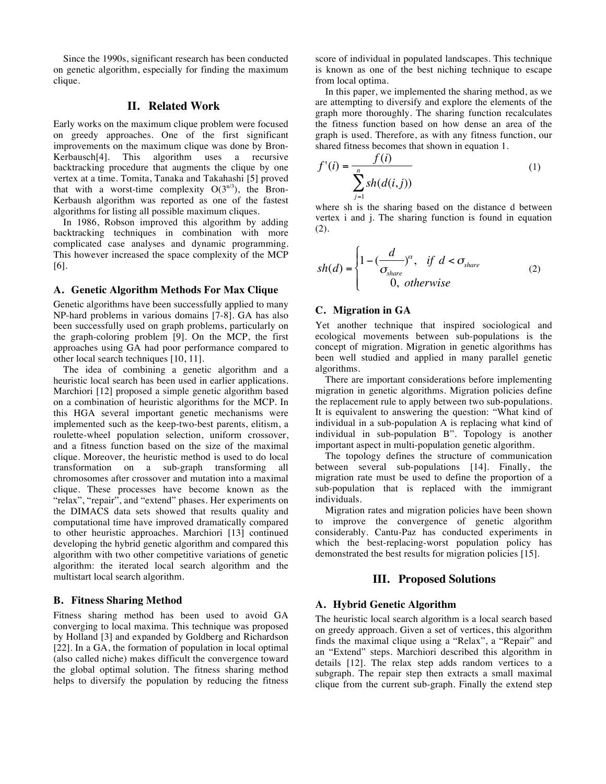Since the 1990s, significant research has been conducted on genetic algorithm, especially for finding the maximum clique.

### **II. Related Work**

Early works on the maximum clique problem were focused on greedy approaches. One of the first significant improvements on the maximum clique was done by Bron-Kerbausch[4]. This algorithm uses a recursive backtracking procedure that augments the clique by one vertex at a time. Tomita, Tanaka and Takahashi [5] proved that with a worst-time complexity  $O(3^{n/3})$ , the Bron-Kerbaush algorithm was reported as one of the fastest algorithms for listing all possible maximum cliques.

In 1986, Robson improved this algorithm by adding backtracking techniques in combination with more complicated case analyses and dynamic programming. € This however increased the space complexity of the MCP [6].

#### **A. Genetic Algorithm Methods For Max Clique**

Genetic algorithms have been successfully applied to many NP-hard problems in various domains [7-8]. GA has also been successfully used on graph problems, particularly on the graph-coloring problem  $[9]$ . On the MCP, the first approaches using GA had poor performance compared to other local search techniques [10, 11].

The idea of combining a genetic algorithm and a heuristic local search has been used in earlier applications. Marchiori [12] proposed a simple genetic algorithm based on a combination of heuristic algorithms for the MCP. In this HGA several important genetic mechanisms were implemented such as the keep-two-best parents, elitism, a roulette-wheel population selection, uniform crossover, and a fitness function based on the size of the maximal clique. Moreover, the heuristic method is used to do local transformation on a sub-graph transforming all chromosomes after crossover and mutation into a maximal clique. These processes have become known as the "relax", "repair", and "extend" phases. Her experiments on the DIMACS data sets showed that results quality and computational time have improved dramatically compared to other heuristic approaches. Marchiori [13] continued developing the hybrid genetic algorithm and compared this algorithm with two other competitive variations of genetic algorithm: the iterated local search algorithm and the multistart local search algorithm.

#### **B. Fitness Sharing Method**

Fitness sharing method has been used to avoid GA converging to local maxima. This technique was proposed by Holland [3] and expanded by Goldberg and Richardson [22]. In a GA, the formation of population in local optimal (also called niche) makes difficult the convergence toward the global optimal solution. The fitness sharing method helps to diversify the population by reducing the fitness

score of individual in populated landscapes. This technique is known as one of the best niching technique to escape from local optima.

In this paper, we implemented the sharing method, as we are attempting to diversify and explore the elements of the graph more thoroughly. The sharing function recalculates the fitness function based on how dense an area of the graph is used. Therefore, as with any fitness function, our shared fitness becomes that shown in equation 1.

$$
f'(i) = \frac{f(i)}{\sum_{j=1}^{n} sh(d(i,j))}
$$
 (1)

where sh is the sharing based on the distance d between vertex i and j. The sharing function is found in equation  $(2).$ 

$$
sh(d) = \begin{cases} 1 - \left(\frac{d}{\sigma_{share}}\right)^{\alpha}, & \text{if } d < \sigma_{share} \\ 0, & \text{otherwise} \end{cases}
$$
 (2)

#### **C. Migration in GA**

Yet another technique that inspired sociological and ecological movements between sub-populations is the concept of migration. Migration in genetic algorithms has been well studied and applied in many parallel genetic algorithms.

There are important considerations before implementing migration in genetic algorithms. Migration policies define the replacement rule to apply between two sub-populations. It is equivalent to answering the question: "What kind of individual in a sub-population A is replacing what kind of individual in sub-population B". Topology is another important aspect in multi-population genetic algorithm.

The topology defines the structure of communication between several sub-populations [14]. Finally, the migration rate must be used to define the proportion of a sub-population that is replaced with the immigrant individuals.

Migration rates and migration policies have been shown to improve the convergence of genetic algorithm considerably. Cantu-Paz has conducted experiments in which the best-replacing-worst population policy has demonstrated the best results for migration policies [15].

# **III. Proposed Solutions**

# **A. Hybrid Genetic Algorithm**

The heuristic local search algorithm is a local search based on greedy approach. Given a set of vertices, this algorithm finds the maximal clique using a "Relax", a "Repair" and an "Extend" steps. Marchiori described this algorithm in details [12]. The relax step adds random vertices to a subgraph. The repair step then extracts a small maximal clique from the current sub-graph. Finally the extend step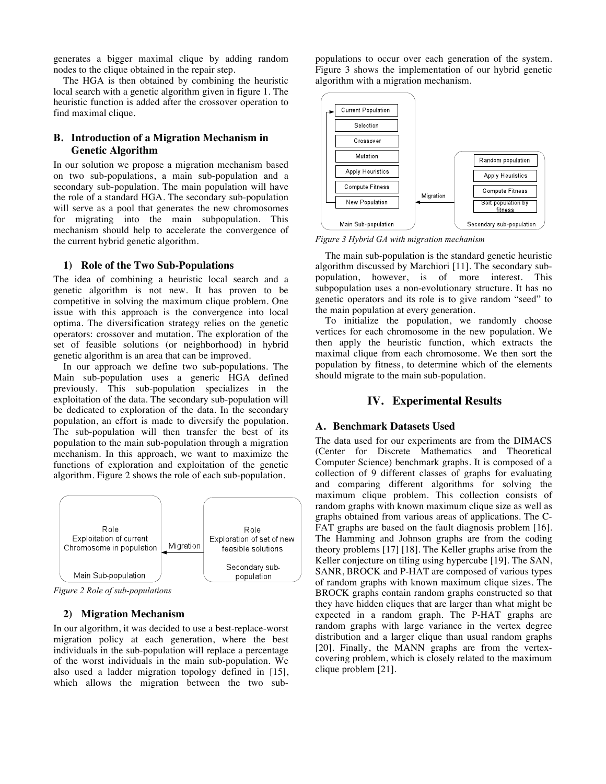generates a bigger maximal clique by adding random nodes to the clique obtained in the repair step.

The HGA is then obtained by combining the heuristic local search with a genetic algorithm given in figure 1. The heuristic function is added after the crossover operation to find maximal clique.

# **B. Introduction of a Migration Mechanism in Genetic Algorithm**

In our solution we propose a migration mechanism based on two sub-populations, a main sub-population and a secondary sub-population. The main population will have the role of a standard HGA. The secondary sub-population will serve as a pool that generates the new chromosomes for migrating into the main subpopulation. This mechanism should help to accelerate the convergence of the current hybrid genetic algorithm.

#### **1) Role of the Two Sub-Populations**

The idea of combining a heuristic local search and a genetic algorithm is not new. It has proven to be competitive in solving the maximum clique problem. One issue with this approach is the convergence into local optima. The diversification strategy relies on the genetic operators: crossover and mutation. The exploration of the set of feasible solutions (or neighborhood) in hybrid genetic algorithm is an area that can be improved.

In our approach we define two sub-populations. The Main sub-population uses a generic HGA defined previously. This sub-population specializes in the exploitation of the data. The secondary sub-population will be dedicated to exploration of the data. In the secondary population, an effort is made to diversify the population. The sub-population will then transfer the best of its population to the main sub-population through a migration mechanism. In this approach, we want to maximize the functions of exploration and exploitation of the genetic algorithm. Figure 2 shows the role of each sub-population.



*Figure 2 Role of sub-populations*

# **2) Migration Mechanism**

In our algorithm, it was decided to use a best-replace-worst migration policy at each generation, where the best individuals in the sub-population will replace a percentage of the worst individuals in the main sub-population. We also used a ladder migration topology defined in [15], which allows the migration between the two subpopulations to occur over each generation of the system. Figure 3 shows the implementation of our hybrid genetic algorithm with a migration mechanism.



*Figure 3 Hybrid GA with migration mechanism*

The main sub-population is the standard genetic heuristic algorithm discussed by Marchiori [11]. The secondary subpopulation, however, is of more interest. This subpopulation uses a non-evolutionary structure. It has no genetic operators and its role is to give random "seed" to the main population at every generation.

To initialize the population, we randomly choose vertices for each chromosome in the new population. We then apply the heuristic function, which extracts the maximal clique from each chromosome. We then sort the population by fitness, to determine which of the elements should migrate to the main sub-population.

## **IV. Experimental Results**

# **A. Benchmark Datasets Used**

The data used for our experiments are from the DIMACS (Center for Discrete Mathematics and Theoretical Computer Science) benchmark graphs. It is composed of a collection of 9 different classes of graphs for evaluating and comparing different algorithms for solving the maximum clique problem. This collection consists of random graphs with known maximum clique size as well as graphs obtained from various areas of applications. The C-FAT graphs are based on the fault diagnosis problem [16]. The Hamming and Johnson graphs are from the coding theory problems [17] [18]. The Keller graphs arise from the Keller conjecture on tiling using hypercube [19]. The SAN, SANR, BROCK and P-HAT are composed of various types of random graphs with known maximum clique sizes. The BROCK graphs contain random graphs constructed so that they have hidden cliques that are larger than what might be expected in a random graph. The P-HAT graphs are random graphs with large variance in the vertex degree distribution and a larger clique than usual random graphs [20]. Finally, the MANN graphs are from the vertexcovering problem, which is closely related to the maximum clique problem [21].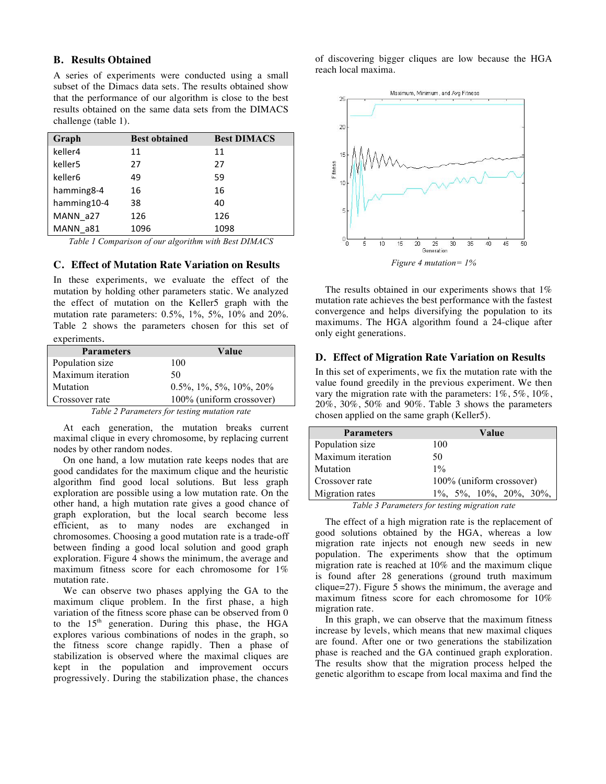## **B. Results Obtained**

A series of experiments were conducted using a small subset of the Dimacs data sets. The results obtained show that the performance of our algorithm is close to the best results obtained on the same data sets from the DIMACS challenge (table 1).

| Graph               | <b>Best obtained</b> | <b>Best DIMACS</b> |
|---------------------|----------------------|--------------------|
| keller4             | 11                   | 11                 |
| keller <sub>5</sub> | 27                   | 27                 |
| keller <sub>6</sub> | 49                   | 59                 |
| hamming 8-4         | 16                   | 16                 |
| hamming10-4         | 38                   | 40                 |
| MANN a27            | 126                  | 126                |
| MANN a81            | 1096                 | 1098               |

*Table 1 Comparison of our algorithm with Best DIMACS*

# **C. Effect of Mutation Rate Variation on Results**

In these experiments, we evaluate the effect of the mutation by holding other parameters static. We analyzed the effect of mutation on the Keller5 graph with the mutation rate parameters: 0.5%, 1%, 5%, 10% and 20%. Table 2 shows the parameters chosen for this set of experiments.

| <b>Parameters</b> | Value                      |
|-------------------|----------------------------|
| Population size   | 100                        |
| Maximum iteration | 50                         |
| Mutation          | $0.5\%$ , 1%, 5%, 10%, 20% |
| Crossover rate    | 100% (uniform crossover)   |

*Table 2 Parameters for testing mutation rate*

At each generation, the mutation breaks current maximal clique in every chromosome, by replacing current nodes by other random nodes.

On one hand, a low mutation rate keeps nodes that are good candidates for the maximum clique and the heuristic algorithm find good local solutions. But less graph exploration are possible using a low mutation rate. On the other hand, a high mutation rate gives a good chance of graph exploration, but the local search become less efficient, as to many nodes are exchanged in chromosomes. Choosing a good mutation rate is a trade-off between finding a good local solution and good graph exploration. Figure 4 shows the minimum, the average and maximum fitness score for each chromosome for 1% mutation rate.

We can observe two phases applying the GA to the maximum clique problem. In the first phase, a high variation of the fitness score phase can be observed from 0 to the  $15<sup>th</sup>$  generation. During this phase, the HGA explores various combinations of nodes in the graph, so the fitness score change rapidly. Then a phase of stabilization is observed where the maximal cliques are kept in the population and improvement occurs progressively. During the stabilization phase, the chances of discovering bigger cliques are low because the HGA reach local maxima.



The results obtained in our experiments shows that 1% mutation rate achieves the best performance with the fastest convergence and helps diversifying the population to its maximums. The HGA algorithm found a 24-clique after only eight generations.

#### **D. Effect of Migration Rate Variation on Results**

In this set of experiments, we fix the mutation rate with the value found greedily in the previous experiment. We then vary the migration rate with the parameters: 1%, 5%, 10%, 20%, 30%, 50% and 90%. Table 3 shows the parameters chosen applied on the same graph (Keller5).

| <b>Parameters</b>                                                                                          | Value                         |  |
|------------------------------------------------------------------------------------------------------------|-------------------------------|--|
| Population size                                                                                            | 100                           |  |
| Maximum iteration                                                                                          | 50                            |  |
| Mutation                                                                                                   | $1\%$                         |  |
| Crossover rate                                                                                             | 100% (uniform crossover)      |  |
| Migration rates                                                                                            | $1\%, 5\%, 10\%, 20\%, 30\%,$ |  |
| $T$ $11$ $2$ $D$ $22$ $23$ $24$ $25$ $27$ $28$ $29$ $21$ $21$ $22$ $23$ $24$ $25$ $26$ $27$ $28$ $29$ $21$ |                               |  |

*Table 3 Parameters for testing migration rate* 

The effect of a high migration rate is the replacement of good solutions obtained by the HGA, whereas a low migration rate injects not enough new seeds in new population. The experiments show that the optimum migration rate is reached at 10% and the maximum clique is found after 28 generations (ground truth maximum clique=27). Figure 5 shows the minimum, the average and maximum fitness score for each chromosome for 10% migration rate.

In this graph, we can observe that the maximum fitness increase by levels, which means that new maximal cliques are found. After one or two generations the stabilization phase is reached and the GA continued graph exploration. The results show that the migration process helped the genetic algorithm to escape from local maxima and find the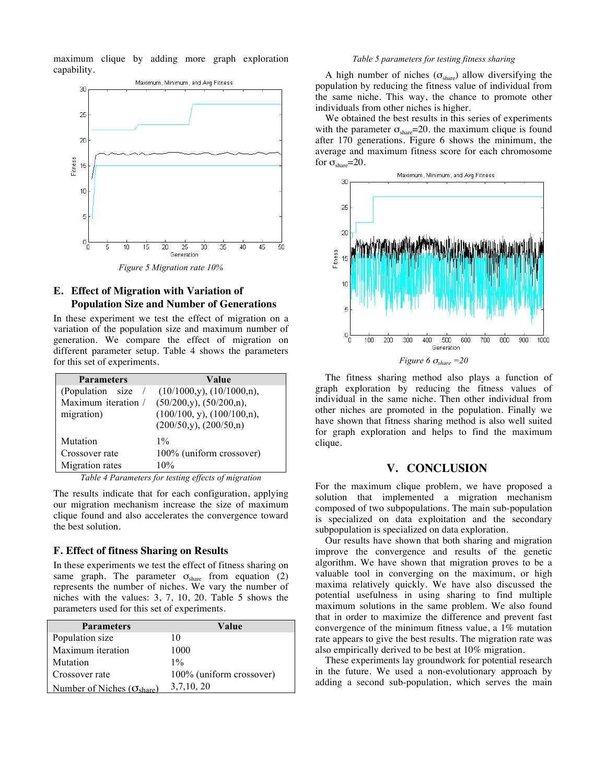maximum clique by adding more graph exploration capability.

![](_page_4_Figure_1.jpeg)

# **E. Effect of Migration with Variation of Population Size and Number of Generations**

In these experiment we test the effect of migration on a variation of the population size and maximum number of generation. We compare the effect of migration on different parameter setup. Table 4 shows the parameters for this set of experiments.

| Value                             |
|-----------------------------------|
| $(10/1000, y)$ , $(10/1000, n)$ , |
| $(50/200,y)$ , $(50/200,n)$ ,     |
| $(100/100, y)$ , $(100/100, n)$ , |
| (200/50, y), (200/50, n)          |
| $1\%$                             |
| 100% (uniform crossover)          |
| 10%                               |
|                                   |

*Table 4 Parameters for testing effects of migration*

The results indicate that for each configuration, applying our migration mechanism increase the size of maximum clique found and also accelerates the convergence toward the best solution.

#### **F. Effect of fitness Sharing on Results**

In these experiments we test the effect of fitness sharing on same graph. The parameter  $\sigma_{\text{share}}$  from equation (2) represents the number of niches. We vary the number of niches with the values: 3, 7, 10, 20. Table 5 shows the parameters used for this set of experiments.

| <b>Parameters</b>                            | Value                    |
|----------------------------------------------|--------------------------|
| Population size                              | 10                       |
| Maximum iteration                            | 1000                     |
| Mutation                                     | $1\%$                    |
| Crossover rate                               | 100% (uniform crossover) |
| Number of Niches ( $\sigma_{\text{share}}$ ) | 3,7,10,20                |

#### *Table 5 parameters for testing fitness sharing*

A high number of niches  $(\sigma_{\text{share}})$  allow diversifying the population by reducing the fitness value of individual from the same niche. This way, the chance to promote other individuals from other niches is higher.

We obtained the best results in this series of experiments with the parameter  $\sigma_{\text{share}}=20$ . the maximum clique is found after 170 generations. Figure 6 shows the minimum, the average and maximum fitness score for each chromosome for  $\sigma_{\text{share}}=20$ .

![](_page_4_Figure_13.jpeg)

The fitness sharing method also plays a function of graph exploration by reducing the fitness values of individual in the same niche. Then other individual from other niches are promoted in the population. Finally we have shown that fitness sharing method is also well suited for graph exploration and helps to find the maximum clique.

# **V. CONCLUSION**

For the maximum clique problem, we have proposed a solution that implemented a migration mechanism composed of two subpopulations. The main sub-population is specialized on data exploitation and the secondary subpopulation is specialized on data exploration.

Our results have shown that both sharing and migration improve the convergence and results of the genetic algorithm. We have shown that migration proves to be a valuable tool in converging on the maximum, or high maxima relatively quickly. We have also discussed the potential usefulness in using sharing to find multiple maximum solutions in the same problem. We also found that in order to maximize the difference and prevent fast convergence of the minimum fitness value, a 1% mutation rate appears to give the best results. The migration rate was also empirically derived to be best at 10% migration.

These experiments lay groundwork for potential research in the future. We used a non-evolutionary approach by adding a second sub-population, which serves the main